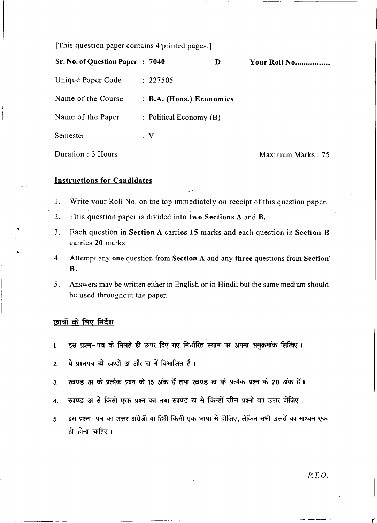[This question paper contains 4-printed pages.]

| Sr. No. of Question Paper : 7040 |                                    | D | Your Roll No      |
|----------------------------------|------------------------------------|---|-------------------|
| Unique Paper Code                | : 227505                           |   |                   |
| Name of the Course               | : B.A. (Hons.) Economics           |   |                   |
| Name of the Paper                | $\therefore$ Political Economy (B) |   |                   |
| Semester                         | : V                                |   |                   |
| Duration : 3 Hours               |                                    |   | Maximum Marks: 75 |

## Instructions for Candidates

- 1. Write your Roll No. on the top immediately on receipt of this question paper.
- 2. This question paper is divided into two Sections A and B.
- 3. Each question in Section A carries 15 marks and each question in Section B carries 20 marks.
- 4. Attempt any one question from Section A and any three questions from Section· B.
- 5. Answers may be written either in English or in Hindi; but the same medium should be used throughout the paper.

## छात्रों के लिए निर्देश

..

- इस प्रश्न-पत्र के मिलते ही ऊपर दिए गए निर्धारित स्थान पर अपना अनुक्रमांक लिखिए।  $\mathbf{L}$
- ये प्रश्नपत्र दो खण्डों अ और ब में विभाजित है।  $2.$
- खण्ड अ के प्रत्येक प्रश्न के 15 अंक हैं तथा खण्ड ब के प्रत्येक प्रश्न के 20 अंक हैं।  $3.$
- 4. रवण्ड अ से किसी एक प्रश्न का तथा रवण्ड ब से किन्हीं तीन प्रश्नों का उत्तर दीजिए।
- 5. \_ इस प्रश्न-पत्र का उत्तर अंग्रेजी या हिंदी किसी एक भाषा में दीजिए, लेकिन सभी उत्तरों का माध्यम एक ही होना चाहिए।

r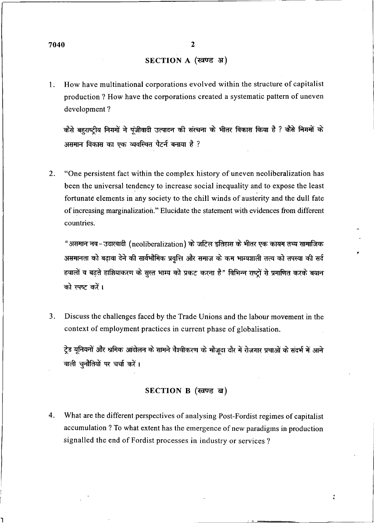٦

## SECTION A (खण्ड अ)

1. How have multinational corporations evolved within the structure of capitalist production ? How have the corporations created a systematic pattern of uneven development ?

कैसे बहुराष्ट्रीय निगमों ने पूंजीवादी उत्पादन की संरचना के भीतर विकास किया है ? कैसे निगमों के असमान विकास का एक व्यवस्थित पैटर्न बनाया है ?

2. "One persistent fact within the complex history of uneven neoliberalization has been the universal tendency to increase social inequality and to expose the least fortunate elements in any society to the chill winds of austerity and the dull fate of increasing marginalization." Elucidate the statement with evidences from different countries.

"असमान नव-उदारवादी (neoliberalization) के जटिल इतिहास के भीतर एक कायम तथ्य सामाजिक असमानता को बढ़ावा देने की सार्वभौमिक प्रवृत्ति और समाज के कम भाग्यशाली तत्व को तपस्या की सर्द हवालों व बढते हाशियाकरण के सुस्त भाग्य को प्रकट करना है" विभिन्न राष्ट्रों से प्रमाणित करके बयान को स्पष्ट करें।

3. Discuss the challenges faced by the Trade Unions and the labour movement in the context of employment practices in current phase of globalisation.

ट्रेड यूनियनों और श्रमिक आंदोलन के सामने वैश्वीकरण के मौजदा दौर में रोजगार प्रथाओं के सदर्भ में आने वाली चुनौतियों पर चर्चा करें।

## SECTION B (खण्ड ब)

4. What are the different perspectives of analysing Post-Fordist regimes of capitalist accumulation ? To what extent has the emergence of new paradigms in production signalled the end of Fordist processes in industry or services?

 $\ddot{\cdot}$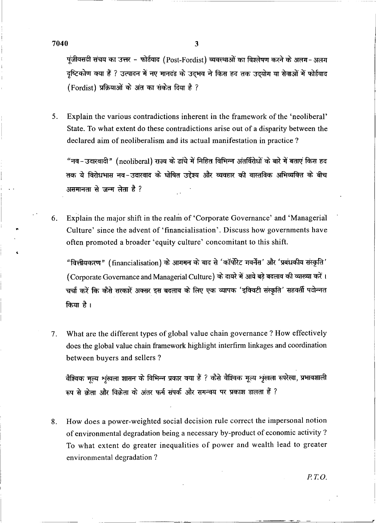$7040$  3

I • •

पूंजीवसदी संचय का उत्तर - फोर्डवाद (Post-Fordist) व्यवस्थाओं का विश्लेषण करने के अलग-अलग दृष्टिकोण क्या हैं ? उत्पादन में नए मानदंड के उद्भव ने किस हद तक उद्योग या सेवाओं में फोर्डवाद (Fordist) प्रक्रियाओं के अंत का संकेत दिया है ?

5. Explain the various contradictions inherent in the framework of the 'neoliberal' State. To what extent do these contradictions arise out of a disparity between the declared aim of neoliberalism and its actual manifestation in practice ?

"नव-उदारवादी" (neoliberal) राज्य के ढांचे में निहित विभिन्न अंतर्विरोधों के बारे में बताएं किस हद तक ये विरोधभास नव-उदारवाद के घोषित उद्देश्य और व्यवहार की वास्तविक अभिव्यक्ति के बीच असमानता से जन्म लेता है ?

6. Explain the major shift in the realm of 'Corporate Governance' and 'Managerial Culture' since the advent of 'financialisation'. Discuss how governments have often promoted a broader 'equity culture' concomitant to this shift.

"वित्तीयकरण" (financialisation) के आगमन के बाद से 'कॉर्पोरेट गवर्नेंस' और 'प्रबंधकीय संस्कृति' (Corporate Governance and Managerial Culture) के दायरे में आये बड़े बदलाव की व्याख्या करें। चर्चा करें कि कैसे सरकारें अक्सर इस बदलाव के लिए एक व्यापक 'इक्विटी संस्कृति' सहवर्ती पदोन्नत किया है।

7. What are the different types of global value chain governance? How effectively does the global value chain framework highlight interfirm linkages and coordination between buyers and sellers ?

वैश्विक मृत्य शृंखला शासन के विभिन्न प्रकार क्या हैं ? कैसे वैश्विक मूल्य शृंखला रूपरेखा, प्रभावशाली रूप से क्रेता और विक्रेता के अंतर फर्म संपर्क और समन्वय पर प्रकाश डालता हैं ?

8. How does a power-weighted social decision rule correct the impersonal notion of environmental degradation being a necessary by-product of economic activity ? To what extent do greater inequalities of power and wealth lead to greater environmental degradation ?

*PT.O.*